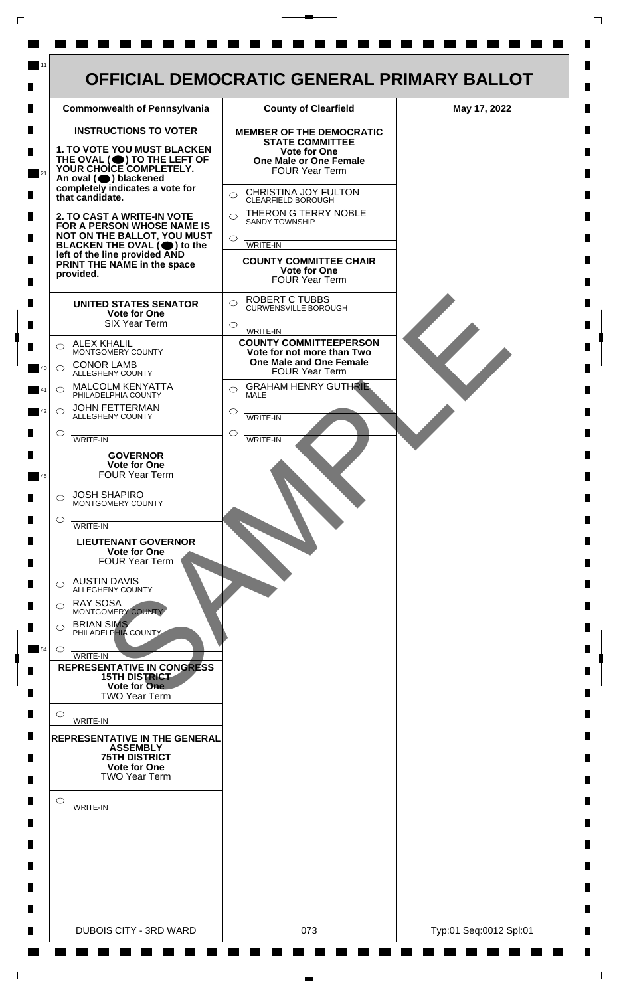| <b>INSTRUCTIONS TO VOTER</b><br><b>MEMBER OF THE DEMOCRATIC</b><br><b>STATE COMMITTEE</b><br>1. TO VOTE YOU MUST BLACKEN<br><b>Vote for One</b><br>THE OVAL (O) TO THE LEFT OF YOUR CHOICE COMPLETELY.<br><b>One Male or One Female</b><br><b>FOUR Year Term</b><br>An oval (O) blackened<br>completely indicates a vote for<br>CHRISTINA JOY FULTON<br>$\bigcirc$<br>that candidate.<br>CLEARFIELD BOROUGH<br>THERON G TERRY NOBLE<br>$\bigcirc$<br>2. TO CAST A WRITE-IN VOTE<br><b>SANDY TOWNSHIP</b><br>FOR A PERSON WHOSE NAME IS<br>NOT ON THE BALLOT, YOU MUST<br>$\circ$<br>WRITE-IN<br>BLACKEN THE OVAL $(\bigcirc)$ to the<br>left of the line provided AND<br><b>COUNTY COMMITTEE CHAIR</b><br>PRINT THE NAME in the space<br>Vote for One<br>provided.<br><b>FOUR Year Term</b><br><b>ROBERT C TUBBS</b><br>$\bigcirc$<br><b>UNITED STATES SENATOR</b><br><b>CURWENSVILLE BOROUGH</b><br>Vote for One<br><b>SIX Year Term</b><br>$\circ$<br>WRITE-IN<br><b>COUNTY COMMITTEEPERSON</b><br><b>ALEX KHALIL</b><br>◯<br>MONTGOMERY COUNTY<br>Vote for not more than Two<br><b>One Male and One Female</b><br><b>CONOR LAMB</b><br>$\bigcirc$<br><b>FOUR Year Term</b><br>ALLEGHENY COUNTY<br><b>GRAHAM HENRY GUTHRIE</b><br><b>MALCOLM KENYATTA</b><br>$\bigcirc$<br>$\bigcirc$<br>PHILADELPHIA COUNTY<br><b>MALE</b><br><b>JOHN FETTERMAN</b><br>$\bigcirc$<br>◯<br>ALLEGHENY COUNTY<br>WRITE-IN<br>$\circlearrowright$<br>$\circ$<br>WRITE-IN<br>WRITE-IN<br><b>GOVERNOR</b><br><b>Vote for One</b><br><b>FOUR Year Term</b><br><b>JOSH SHAPIRO</b><br>⌒<br>MONTGOMERY COUNTY<br>$\circ$<br>WRITE-IN |
|----------------------------------------------------------------------------------------------------------------------------------------------------------------------------------------------------------------------------------------------------------------------------------------------------------------------------------------------------------------------------------------------------------------------------------------------------------------------------------------------------------------------------------------------------------------------------------------------------------------------------------------------------------------------------------------------------------------------------------------------------------------------------------------------------------------------------------------------------------------------------------------------------------------------------------------------------------------------------------------------------------------------------------------------------------------------------------------------------------------------------------------------------------------------------------------------------------------------------------------------------------------------------------------------------------------------------------------------------------------------------------------------------------------------------------------------------------------------------------------------------------------------------------------------------------------------------------------------------------------|
| <b>LIEUTENANT GOVERNOR</b><br><b>Vote for One</b><br><b>FOUR Year Term</b><br><b>AUSTIN DAVIS</b><br>⌒<br>ALLEGHENY COUNTY<br><b>RAY SOSA</b><br>⌒<br>MONTGOMERY COUNTY<br><b>BRIAN SIMS</b><br>◯<br>PHILADELPHIA COUNTY<br>$\circ$<br><b>WRITE-IN</b><br><b>REPRESENTATIVE IN CONGRESS</b><br><b>15TH DISTRICT</b><br>Vote for One<br><b>TWO Year Term</b><br>O<br>WRITE-IN<br><b>REPRESENTATIVE IN THE GENERAL</b><br><b>ASSEMBLY</b><br><b>75TH DISTRICT</b><br><b>Vote for One</b><br><b>TWO Year Term</b><br>$\circ$<br>WRITE-IN                                                                                                                                                                                                                                                                                                                                                                                                                                                                                                                                                                                                                                                                                                                                                                                                                                                                                                                                                                                                                                                                          |

 $\Gamma$ 

 $\Box$ 

٦